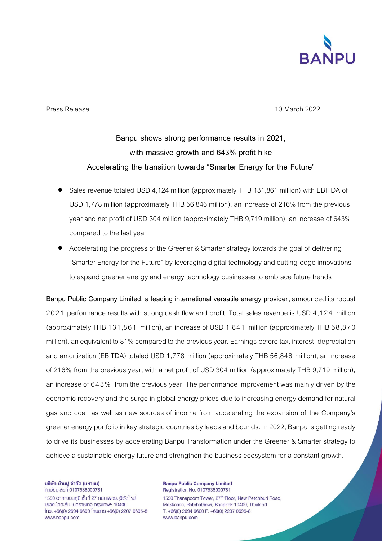

Press Release 10 March 2022

## **Banpu shows strong performance results in 2021, with massive growth and 643% profit hike Accelerating the transition towards "Smarter Energy for the Future"**

- Sales revenue totaled USD 4,124 million (approximately THB 131,861 million) with EBITDA of USD 1,778 million (approximately THB 56,846 million), an increase of 216% from the previous year and net profit of USD 304 million (approximately THB 9,719 million), an increase of 643% compared to the last year
- Accelerating the progress of the Greener & Smarter strategy towards the goal of delivering "Smarter Energy for the Future" by leveraging digital technology and cutting-edge innovations to expand greener energy and energy technology businesses to embrace future trends

Banpu Public Company Limited, a leading international versatile energy provider, announced its robust 2021 performance results with strong cash flow and profit. Total sales revenue is USD 4,124 million (approximately THB 131,861 million), an increase of USD 1,841 million (approximately THB 58,870 million), an equivalent to 81% compared to the previous year. Earnings before tax, interest, depreciation and amortization (EBITDA) totaled USD 1,778 million (approximately THB 56,846 million), an increase of 216% from the previous year, with a net profit of USD 304 million (approximately THB 9,719 million), an increase of 643% from the previous year. The performance improvement was mainly driven by the economic recovery and the surge in global energy prices due to increasing energy demand for natural gas and coal, as well as new sources of income from accelerating the expansion of the Company's greener energy portfolio in key strategic countries by leaps and bounds. In 2022, Banpu is getting ready to drive its businesses by accelerating Banpu Transformation under the Greener & Smarter strategy to achieve a sustainable energy future and strengthen the business ecosystem for a constant growth.

บริษัท บ้านปู จำกัด (มหาชน) n:เบียนเลขที่ 0107536000781

1550 อาคารธนกมิ ชั้นที่ 27 ถนนเพชรบุรีตัดใหม่ แขวงมักกะสัน เขตราชเทวี กรุงเทพฯ 10400  $[$ ns. +66(0) 2694 6600  $[$ nsans +66(0) 2207 0695-8 www.banpu.com

**Banpu Public Company Limited** Registration No. 0107536000781 1550 Thanapoom Tower, 27<sup>th</sup> Floor, New Petchburi Road,

Makkasan, Ratchathewi, Bangkok 10400, Thailand T. +66(0) 2694 6600 F. +66(0) 2207 0695-8 www.banpu.com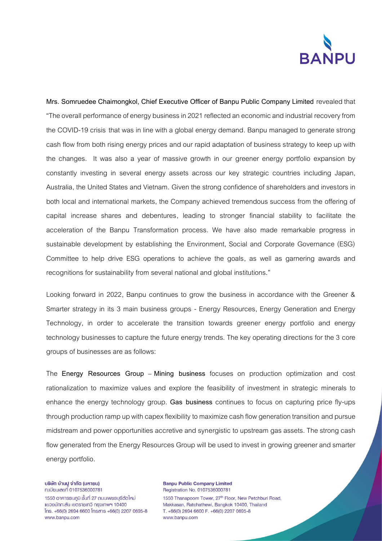

**Mrs. Somruedee Chaimongkol, Chief Executive Officer of Banpu Public Company Limited** revealed that "The overall performance of energy business in 2021 reflected an economic and industrial recovery from the COVID-19 crisis that was in line with a global energy demand. Banpu managed to generate strong cash flow from both rising energy prices and our rapid adaptation of business strategy to keep up with the changes. It was also a year of massive growth in our greener energy portfolio expansion by constantly investing in several energy assets across our key strategic countries including Japan, Australia, the United States and Vietnam. Given the strong confidence of shareholders and investors in both local and international markets, the Company achieved tremendous success from the offering of capital increase shares and debentures, leading to stronger financial stability to facilitate the acceleration of the Banpu Transformation process. We have also made remarkable progress in sustainable development by establishing the Environment, Social and Corporate Governance (ESG) Committee to help drive ESG operations to achieve the goals, as well as garnering awards and recognitions for sustainability from several national and global institutions."

Looking forward in 2022, Banpu continues to grow the business in accordance with the Greener & Smarter strategy in its 3 main business groups - Energy Resources, Energy Generation and Energy Technology, in order to accelerate the transition towards greener energy portfolio and energy technology businesses to capture the future energy trends. The key operating directions for the 3 core groups of businesses are as follows:

The **Energy Resources Group** – **Mining business** focuses on production optimization and cost rationalization to maximize values and explore the feasibility of investment in strategic minerals to enhance the energy technology group. **Gas business** continues to focus on capturing price fly-ups through production ramp up with capex flexibility to maximize cash flow generation transition and pursue midstream and power opportunities accretive and synergistic to upstream gas assets. The strong cash flow generated from the Energy Resources Group will be used to invest in growing greener and smarter energy portfolio.

บริษัท บ้านปู จำกัด (มหาชน) ทะเบียนเลขที่ 0107536000781

1550 อาคารธนกมิ ชั้นที่ 27 ถนนเพชรบุรีตัดใหม่ แขวงมักกะสัน เขตราชเทวี กรุงเทพฯ 10400  $[$ ns. +66(0) 2694 6600  $[$ nsans +66(0) 2207 0695-8 www.banpu.com

**Banpu Public Company Limited** Registration No. 0107536000781 1550 Thanapoom Tower, 27<sup>th</sup> Floor, New Petchburi Road, Makkasan, Ratchathewi, Bangkok 10400, Thailand T. +66(0) 2694 6600 F. +66(0) 2207 0695-8 www.banpu.com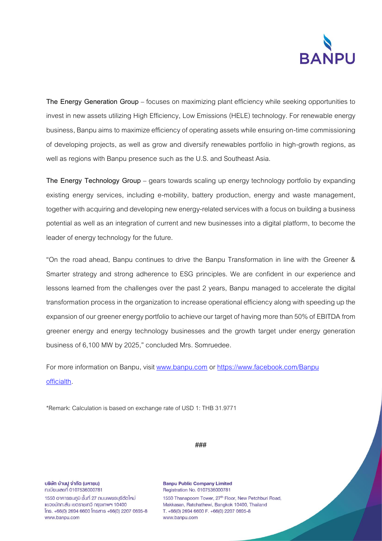

**The Energy Generation Group** – focuses on maximizing plant efficiency while seeking opportunities to invest in new assets utilizing High Efficiency, Low Emissions (HELE) technology. For renewable energy business, Banpu aims to maximize efficiency of operating assets while ensuring on-time commissioning of developing projects, as well as grow and diversify renewables portfolio in high-growth regions, as well as regions with Banpu presence such as the U.S. and Southeast Asia.

**The Energy Technology Group** – gears towards scaling up energy technology portfolio by expanding existing energy services, including e-mobility, battery production, energy and waste management, together with acquiring and developing new energy-related services with a focus on building a business potential as well as an integration of current and new businesses into a digital platform, to become the leader of energy technology for the future.

"On the road ahead, Banpu continues to drive the Banpu Transformation in line with the Greener & Smarter strategy and strong adherence to ESG principles. We are confident in our experience and lessons learned from the challenges over the past 2 years, Banpu managed to accelerate the digital transformation process in the organization to increase operational efficiency along with speeding up the expansion of our greener energy portfolio to achieve our target of having more than 50% of EBITDA from greener energy and energy technology businesses and the growth target under energy generation business of 6,100 MW by 2025," concluded Mrs. Somruedee.

For more information on Banpu, visit [www.banpu.com](http://www.banpu.com/) or [https://www.facebook.com/Banpu](https://www.facebook.com/Banpuofficialth) [officialth.](https://www.facebook.com/Banpuofficialth)

\*Remark: Calculation is based on exchange rate of USD 1: THB 31.9771

**###**

บริษัท บ้านปู จำกัด (มหาชน) ทะเบียนเลขที่ 0107536000781 1550 อาคารธนกมิ ชั้นที่ 27 ถนนเพชรบุรีตัดใหม่ แขวงมักกะสัน เขตราชเทวี กรุงเทพฯ 10400

 $[$ ns. +66(0) 2694 6600  $[$ nsans +66(0) 2207 0695-8 www.banpu.com

**Banpu Public Company Limited** Registration No. 0107536000781 1550 Thanapoom Tower, 27<sup>th</sup> Floor, New Petchburi Road, Makkasan, Ratchathewi, Bangkok 10400, Thailand T. +66(0) 2694 6600 F. +66(0) 2207 0695-8 www.banpu.com